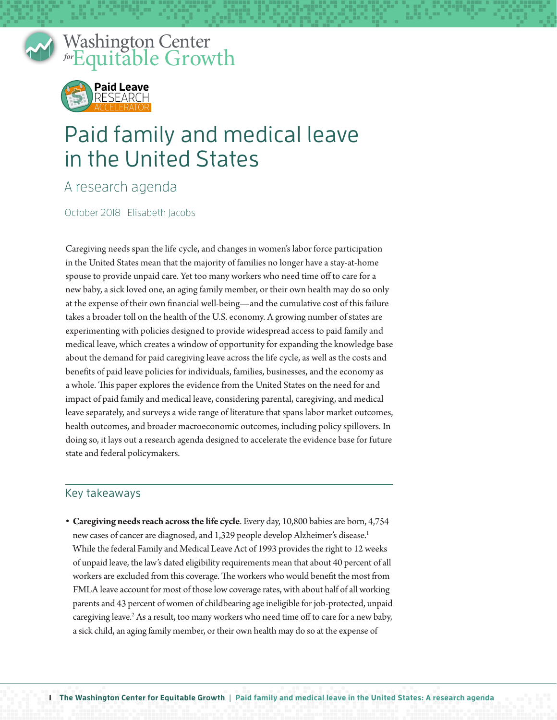

Washington Center *for* Equitable Growth Washin  $\int$  for  $\overline{F}$   $\overline{G}$  and  $\overline{F}$ 



## Paid family and medical leave in the United States

A research agenda

October 2018 Elisabeth Jacobs

Caregiving needs span the life cycle, and changes in women's labor force participation in the United States mean that the majority of families no longer have a stay-at-home spouse to provide unpaid care. Yet too many workers who need time off to care for a new baby, a sick loved one, an aging family member, or their own health may do so only at the expense of their own financial well-being—and the cumulative cost of this failure takes a broader toll on the health of the U.S. economy. A growing number of states are experimenting with policies designed to provide widespread access to paid family and medical leave, which creates a window of opportunity for expanding the knowledge base about the demand for paid caregiving leave across the life cycle, as well as the costs and benefits of paid leave policies for individuals, families, businesses, and the economy as a whole. This paper explores the evidence from the United States on the need for and impact of paid family and medical leave, considering parental, caregiving, and medical leave separately, and surveys a wide range of literature that spans labor market outcomes, health outcomes, and broader macroeconomic outcomes, including policy spillovers. In doing so, it lays out a research agenda designed to accelerate the evidence base for future state and federal policymakers.

## Key takeaways

**• Caregiving needs reach across the life cycle**. Every day, 10,800 babies are born, 4,754 new cases of cancer are diagnosed, and 1,329 people develop Alzheimer's disease.<sup>1</sup> While the federal Family and Medical Leave Act of 1993 provides the right to 12 weeks of unpaid leave, the law's dated eligibility requirements mean that about 40 percent of all workers are excluded from this coverage. The workers who would benefit the most from FMLA leave account for most of those low coverage rates, with about half of all working parents and 43 percent of women of childbearing age ineligible for job-protected, unpaid caregiving leave.<sup>2</sup> As a result, too many workers who need time off to care for a new baby, a sick child, an aging family member, or their own health may do so at the expense of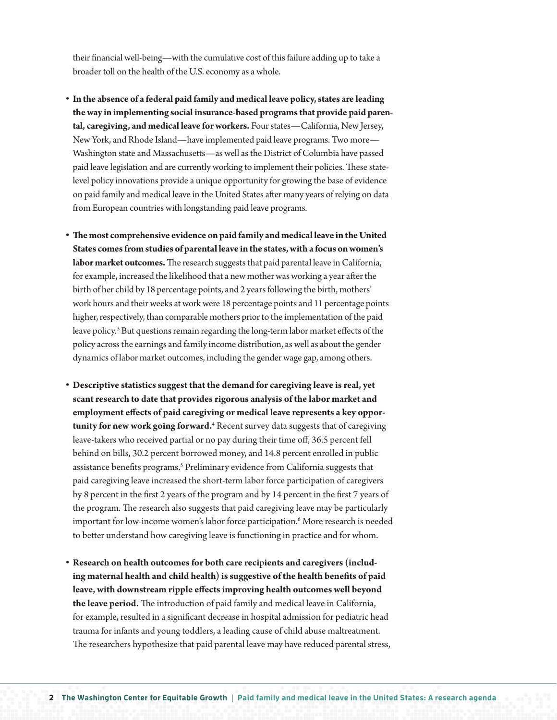their financial well-being—with the cumulative cost of this failure adding up to take a broader toll on the health of the U.S. economy as a whole.

- **• In the absence of a federal paid family and medical leave policy, states are leading the way in implementing social insurance-based programs that provide paid parental, caregiving, and medical leave for workers.** Four states—California, New Jersey, New York, and Rhode Island—have implemented paid leave programs. Two more— Washington state and Massachusetts—as well as the District of Columbia have passed paid leave legislation and are currently working to implement their policies. These statelevel policy innovations provide a unique opportunity for growing the base of evidence on paid family and medical leave in the United States after many years of relying on data from European countries with longstanding paid leave programs.
- **• The most comprehensive evidence on paid family and medical leave in the United States comes from studies of parental leave in the states, with a focus on women's labor market outcomes.** The research suggests that paid parental leave in California, for example, increased the likelihood that a new mother was working a year after the birth of her child by 18 percentage points, and 2 years following the birth, mothers' work hours and their weeks at work were 18 percentage points and 11 percentage points higher, respectively, than comparable mothers prior to the implementation of the paid leave policy.<sup>3</sup> But questions remain regarding the long-term labor market effects of the policy across the earnings and family income distribution, as well as about the gender dynamics of labor market outcomes, including the gender wage gap, among others.
- **• Descriptive statistics suggest that the demand for caregiving leave is real, yet scant research to date that provides rigorous analysis of the labor market and employment effects of paid caregiving or medical leave represents a key opportunity for new work going forward.**<sup>4</sup> Recent survey data suggests that of caregiving leave-takers who received partial or no pay during their time off, 36.5 percent fell behind on bills, 30.2 percent borrowed money, and 14.8 percent enrolled in public assistance benefits programs.<sup>5</sup> Preliminary evidence from California suggests that paid caregiving leave increased the short-term labor force participation of caregivers by 8 percent in the first 2 years of the program and by 14 percent in the first 7 years of the program. The research also suggests that paid caregiving leave may be particularly important for low-income women's labor force participation.6 More research is needed to better understand how caregiving leave is functioning in practice and for whom.
- Research on health outcomes for both care recipients and caregivers (includ**ing maternal health and child health) is suggestive of the health benefits of paid leave, with downstream ripple effects improving health outcomes well beyond the leave period.** The introduction of paid family and medical leave in California, for example, resulted in a significant decrease in hospital admission for pediatric head trauma for infants and young toddlers, a leading cause of child abuse maltreatment. The researchers hypothesize that paid parental leave may have reduced parental stress,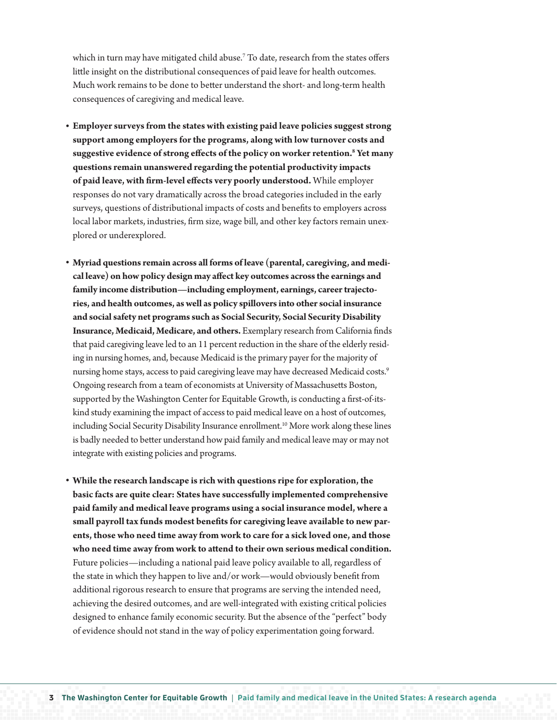which in turn may have mitigated child abuse.<sup>7</sup> To date, research from the states offers little insight on the distributional consequences of paid leave for health outcomes. Much work remains to be done to better understand the short- and long-term health consequences of caregiving and medical leave.

- **• Employer surveys from the states with existing paid leave policies suggest strong support among employers for the programs, along with low turnover costs and suggestive evidence of strong effects of the policy on worker retention.8 Yet many questions remain unanswered regarding the potential productivity impacts of paid leave, with firm-level effects very poorly understood.** While employer responses do not vary dramatically across the broad categories included in the early surveys, questions of distributional impacts of costs and benefits to employers across local labor markets, industries, firm size, wage bill, and other key factors remain unexplored or underexplored.
- **• Myriad questions remain across all forms of leave (parental, caregiving, and medical leave) on how policy design may affect key outcomes across the earnings and family income distribution—including employment, earnings, career trajectories, and health outcomes, as well as policy spillovers into other social insurance and social safety net programs such as Social Security, Social Security Disability Insurance, Medicaid, Medicare, and others.** Exemplary research from California finds that paid caregiving leave led to an 11 percent reduction in the share of the elderly residing in nursing homes, and, because Medicaid is the primary payer for the majority of nursing home stays, access to paid caregiving leave may have decreased Medicaid costs.<sup>9</sup> Ongoing research from a team of economists at University of Massachusetts Boston, supported by the Washington Center for Equitable Growth, is conducting a first-of-itskind study examining the impact of access to paid medical leave on a host of outcomes, including Social Security Disability Insurance enrollment.<sup>10</sup> More work along these lines is badly needed to better understand how paid family and medical leave may or may not integrate with existing policies and programs.
- **• While the research landscape is rich with questions ripe for exploration, the basic facts are quite clear: States have successfully implemented comprehensive paid family and medical leave programs using a social insurance model, where a small payroll tax funds modest benefits for caregiving leave available to new parents, those who need time away from work to care for a sick loved one, and those who need time away from work to attend to their own serious medical condition.**  Future policies—including a national paid leave policy available to all, regardless of the state in which they happen to live and/or work—would obviously benefit from additional rigorous research to ensure that programs are serving the intended need, achieving the desired outcomes, and are well-integrated with existing critical policies designed to enhance family economic security. But the absence of the "perfect" body of evidence should not stand in the way of policy experimentation going forward.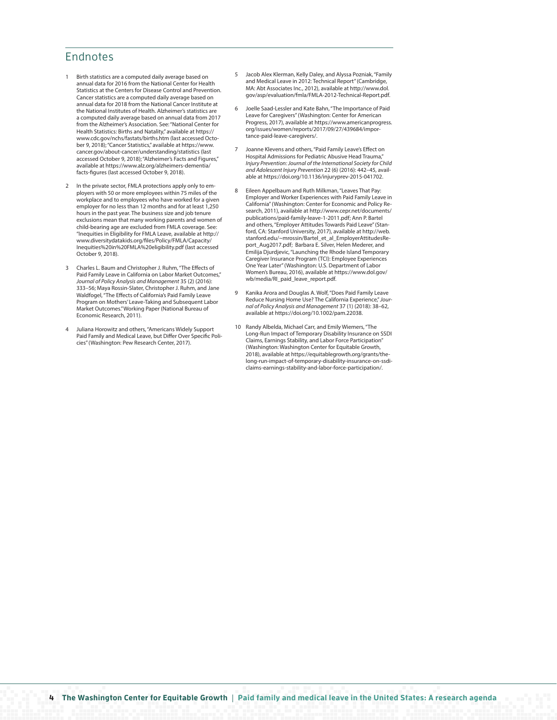## Endnotes

- 1 Birth statistics are a computed daily average based on annual data for 2016 from the National Center for Health Statistics at the Centers for Disease Control and Prevention. Cancer statistics are a computed daily average based on annual data for 2018 from the National Cancer Institute at the National Institutes of Health. Alzheimer's statistics are a computed daily average based on annual data from 2017 from the Alzheimer's Association. See: "National Center for Health Statistics: Births and Natality," available at [https://](https://www.cdc.gov/nchs/fastats/births.htm) [www.cdc.gov/nchs/fastats/births.htm](https://www.cdc.gov/nchs/fastats/births.htm) (last accessed October 9, 2018); "Cancer Statistics," available at [https://www.](https://www.cancer.gov/about-cancer/understanding/statistics) [cancer.gov/about-cancer/understanding/statistics](https://www.cancer.gov/about-cancer/understanding/statistics) (last accessed October 9, 2018); "Alzheimer's Facts and Figures," available at [https://www.alz.org/alzheimers-dementia/](https://www.alz.org/alzheimers-dementia/facts-figures) [facts-figures](https://www.alz.org/alzheimers-dementia/facts-figures) (last accessed October 9, 2018).
- 2 In the private sector, FMLA protections apply only to employers with 50 or more employees within 75 miles of the workplace and to employees who have worked for a given employer for no less than 12 months and for at least 1,250 hours in the past year. The business size and job tenure exclusions mean that many working parents and women of child-bearing age are excluded from FMLA coverage. See: "Inequities in Eligibility for FMLA Leave, available at http:// www.diversitydatakids.org/files/Policy/FMLA/Capacity/ Inequities%20in%20FMLA%20eligibility.pdf (last accessed October 9, 2018).
- 3 Charles L. Baum and Christopher J. Ruhm, "The Effects of Paid Family Leave in California on Labor Market Outcomes," *Journal of Policy Analysis and Management* 35 (2) (2016): 333–56; Maya Rossin-Slater, Christopher J. Ruhm, and Jane Waldfogel, "The Effects of California's Paid Family Leave Program on Mothers' Leave-Taking and Subsequent Labor Market Outcomes." Working Paper (National Bureau of Economic Research, 2011).
- 4 Juliana Horowitz and others, "Americans Widely Support Paid Family and Medical Leave, but Differ Over Specific Policies" (Washington: Pew Research Center, 2017).
- 5 Jacob Alex Klerman, Kelly Daley, and Alyssa Pozniak, "Family and Medical Leave in 2012: Technical Report" (Cambridge, MA: Abt Associates Inc., 2012), available at http://www.dol. gov/asp/evaluation/fmla/FMLA-2012-Technical-Report.pdf.
- 6 Joelle Saad-Lessler and Kate Bahn, "The Importance of Paid Leave for Caregivers" (Washington: Center for American Progress, 2017), available at https://www.americanprogress. org/issues/women/reports/2017/09/27/439684/importance-paid-leave-caregivers/.
- 7 Joanne Klevens and others, "Paid Family Leave's Effect on Hospital Admissions for Pediatric Abusive Head Trauma, *Injury Prevention: Journal of the International Society for Child and Adolescent Injury Prevention* 22 (6) (2016): 442–45, available at https://doi.org/10.1136/injuryprev-2015-041702.
- 8 Eileen Appelbaum and Ruth Milkman, "Leaves That Pay: Employer and Worker Experiences with Paid Family Leave in California" (Washington: Center for Economic and Policy Research, 2011), available at http://www.cepr.net/documents/ publications/paid-family-leave-1-2011.pdf; Ann P. Bartel and others, "Employer Attitudes Towards Paid Leave" (Stanford, CA: Stanford University, 2017), available at http://web. stanford.edu/~mrossin/Bartel\_et\_al\_EmployerAttitudesReport\_Aug2017.pdf; Barbara E. Silver, Helen Mederer, and Emilija Djurdjevic, "Launching the Rhode Island Temporary Caregiver Insurance Program (TCI): Employee Experiences One Year Later" (Washington: U.S. Department of Labor Women's Bureau, 2016), available at https://www.dol.gov/ wb/media/RI\_paid\_leave\_report.pdf.
- 9 Kanika Arora and Douglas A. Wolf, "Does Paid Family Leave Reduce Nursing Home Use? The California Experience," *Journal of Policy Analysis and Management* 37 (1) (2018): 38–62, available at https://doi.org/10.1002/pam.22038.
- 10 Randy Albelda, Michael Carr, and Emily Wiemers, "The Long-Run Impact of Temporary Disability Insurance on SSDI Claims, Earnings Stability, and Labor Force Participation" (Washington: Washington Center for Equitable Growth, 2018), available at https://equitablegrowth.org/grants/thelong-run-impact-of-temporary-disability-insurance-on-ssdiclaims-earnings-stability-and-labor-force-participation/.